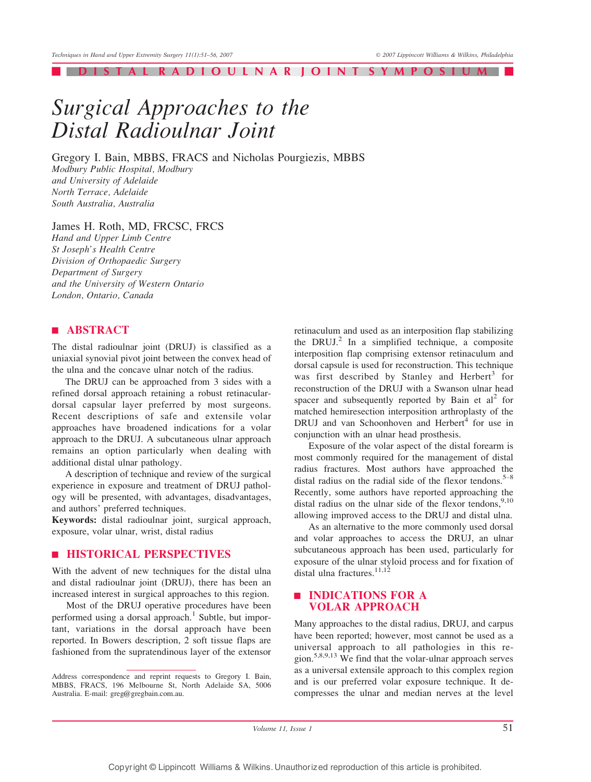| DISTAL RADIOULNAR JOINT SYMPOSIUM |

# *Surgical Approaches to the Distal Radioulnar Joint*

Gregory I. Bain, MBBS, FRACS and Nicholas Pourgiezis, MBBS *Modbury Public Hospital, Modbury and University of Adelaide North Terrace, Adelaide South Australia, Australia*

James H. Roth, MD, FRCSC, FRCS

*Hand and Upper Limb Centre St Joseph's Health Centre Division of Orthopaedic Surgery Department of Surgery and the University of Western Ontario London, Ontario, Canada*

## | ABSTRACT

The distal radioulnar joint (DRUJ) is classified as a uniaxial synovial pivot joint between the convex head of the ulna and the concave ulnar notch of the radius.

The DRUJ can be approached from 3 sides with a refined dorsal approach retaining a robust retinaculardorsal capsular layer preferred by most surgeons. Recent descriptions of safe and extensile volar approaches have broadened indications for a volar approach to the DRUJ. A subcutaneous ulnar approach remains an option particularly when dealing with additional distal ulnar pathology.

A description of technique and review of the surgical experience in exposure and treatment of DRUJ pathology will be presented, with advantages, disadvantages, and authors' preferred techniques.

Keywords: distal radioulnar joint, surgical approach, exposure, volar ulnar, wrist, distal radius

### **EXPLOSICAL PERSPECTIVES**

With the advent of new techniques for the distal ulna and distal radioulnar joint (DRUJ), there has been an increased interest in surgical approaches to this region.

Most of the DRUJ operative procedures have been performed using a dorsal approach.<sup>1</sup> Subtle, but important, variations in the dorsal approach have been reported. In Bowers description, 2 soft tissue flaps are fashioned from the supratendinous layer of the extensor

retinaculum and used as an interposition flap stabilizing the DRUJ.<sup>2</sup> In a simplified technique, a composite interposition flap comprising extensor retinaculum and dorsal capsule is used for reconstruction. This technique was first described by Stanley and Herbert<sup>3</sup> for reconstruction of the DRUJ with a Swanson ulnar head spacer and subsequently reported by Bain et  $al^2$  for matched hemiresection interposition arthroplasty of the DRUJ and van Schoonhoven and Herbert<sup>4</sup> for use in conjunction with an ulnar head prosthesis.

Exposure of the volar aspect of the distal forearm is most commonly required for the management of distal radius fractures. Most authors have approached the distal radius on the radial side of the flexor tendons.<sup>5-8</sup> Recently, some authors have reported approaching the distal radius on the ulnar side of the flexor tendons,  $9,10$ allowing improved access to the DRUJ and distal ulna.

As an alternative to the more commonly used dorsal and volar approaches to access the DRUJ, an ulnar subcutaneous approach has been used, particularly for exposure of the ulnar styloid process and for fixation of distal ulna fractures.<sup>11,12</sup>

## | INDICATIONS FOR A VOLAR APPROACH

Many approaches to the distal radius, DRUJ, and carpus have been reported; however, most cannot be used as a universal approach to all pathologies in this region.5,8,9,13 We find that the volar-ulnar approach serves as a universal extensile approach to this complex region and is our preferred volar exposure technique. It decompresses the ulnar and median nerves at the level

Volume 11, Issue 1  $51$ 

Address correspondence and reprint requests to Gregory I. Bain, MBBS, FRACS, 196 Melbourne St, North Adelaide SA, 5006 Australia. E-mail: greg@gregbain.com.au.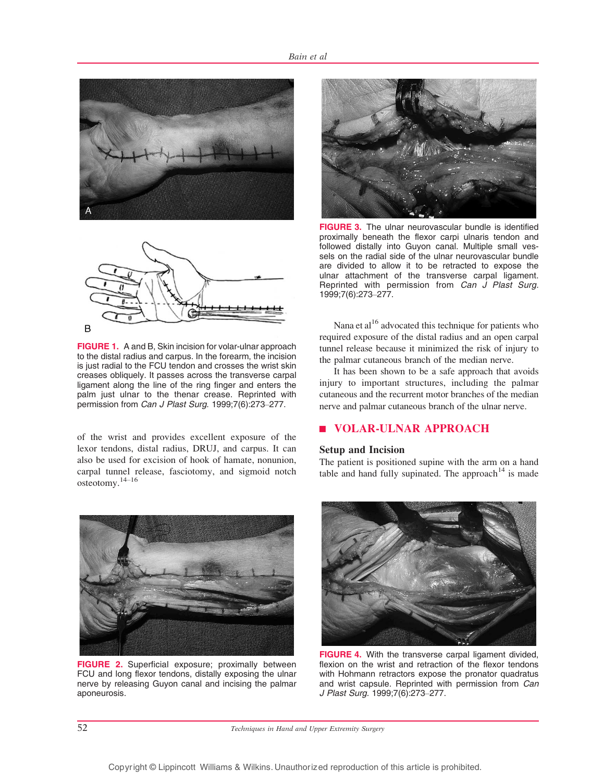



FIGURE 1. A and B, Skin incision for volar-ulnar approach to the distal radius and carpus. In the forearm, the incision is just radial to the FCU tendon and crosses the wrist skin creases obliquely. It passes across the transverse carpal ligament along the line of the ring finger and enters the palm just ulnar to the thenar crease. Reprinted with permission from Can J Plast Surg. 1999;7(6):273-277.

of the wrist and provides excellent exposure of the lexor tendons, distal radius, DRUJ, and carpus. It can also be used for excision of hook of hamate, nonunion, carpal tunnel release, fasciotomy, and sigmoid notch osteotomy. $14-16$ 



FIGURE 2. Superficial exposure; proximally between FCU and long flexor tendons, distally exposing the ulnar nerve by releasing Guyon canal and incising the palmar aponeurosis.



**FIGURE 3.** The ulnar neurovascular bundle is identified proximally beneath the flexor carpi ulnaris tendon and followed distally into Guyon canal. Multiple small vessels on the radial side of the ulnar neurovascular bundle are divided to allow it to be retracted to expose the ulnar attachment of the transverse carpal ligament. Reprinted with permission from Can J Plast Surg. 1999;7(6):273-277.

Nana et al $16$  advocated this technique for patients who required exposure of the distal radius and an open carpal tunnel release because it minimized the risk of injury to the palmar cutaneous branch of the median nerve.

It has been shown to be a safe approach that avoids injury to important structures, including the palmar cutaneous and the recurrent motor branches of the median nerve and palmar cutaneous branch of the ulnar nerve.

# | VOLAR-ULNAR APPROACH

#### Setup and Incision

The patient is positioned supine with the arm on a hand table and hand fully supinated. The approach  $14$  is made



FIGURE 4. With the transverse carpal ligament divided, flexion on the wrist and retraction of the flexor tendons with Hohmann retractors expose the pronator quadratus and wrist capsule. Reprinted with permission from Can J Plast Surg. 1999;7(6):273-277.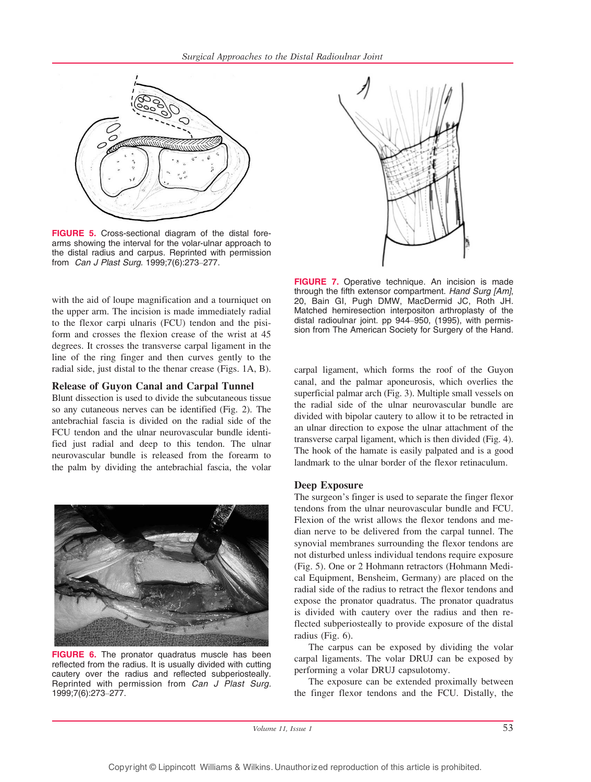

FIGURE 5. Cross-sectional diagram of the distal forearms showing the interval for the volar-ulnar approach to the distal radius and carpus. Reprinted with permission from *Can J Plast Surg.* 1999;7(6):273-277.

with the aid of loupe magnification and a tourniquet on the upper arm. The incision is made immediately radial to the flexor carpi ulnaris (FCU) tendon and the pisiform and crosses the flexion crease of the wrist at 45 degrees. It crosses the transverse carpal ligament in the line of the ring finger and then curves gently to the radial side, just distal to the thenar crease (Figs. 1A, B).

#### Release of Guyon Canal and Carpal Tunnel

Blunt dissection is used to divide the subcutaneous tissue so any cutaneous nerves can be identified (Fig. 2). The antebrachial fascia is divided on the radial side of the FCU tendon and the ulnar neurovascular bundle identified just radial and deep to this tendon. The ulnar neurovascular bundle is released from the forearm to the palm by dividing the antebrachial fascia, the volar



**FIGURE 6.** The pronator quadratus muscle has been reflected from the radius. It is usually divided with cutting cautery over the radius and reflected subperiosteally. Reprinted with permission from Can J Plast Surg. 1999;7(6):273-277.



FIGURE 7. Operative technique. An incision is made through the fifth extensor compartment. Hand Surg [Am], 20, Bain GI, Pugh DMW, MacDermid JC, Roth JH. Matched hemiresection interpositon arthroplasty of the distal radioulnar joint. pp 944-950, (1995), with permission from The American Society for Surgery of the Hand.

carpal ligament, which forms the roof of the Guyon canal, and the palmar aponeurosis, which overlies the superficial palmar arch (Fig. 3). Multiple small vessels on the radial side of the ulnar neurovascular bundle are divided with bipolar cautery to allow it to be retracted in an ulnar direction to expose the ulnar attachment of the transverse carpal ligament, which is then divided (Fig. 4). The hook of the hamate is easily palpated and is a good landmark to the ulnar border of the flexor retinaculum.

#### Deep Exposure

The surgeon's finger is used to separate the finger flexor tendons from the ulnar neurovascular bundle and FCU. Flexion of the wrist allows the flexor tendons and median nerve to be delivered from the carpal tunnel. The synovial membranes surrounding the flexor tendons are not disturbed unless individual tendons require exposure (Fig. 5). One or 2 Hohmann retractors (Hohmann Medical Equipment, Bensheim, Germany) are placed on the radial side of the radius to retract the flexor tendons and expose the pronator quadratus. The pronator quadratus is divided with cautery over the radius and then reflected subperiosteally to provide exposure of the distal radius (Fig. 6).

The carpus can be exposed by dividing the volar carpal ligaments. The volar DRUJ can be exposed by performing a volar DRUJ capsulotomy.

The exposure can be extended proximally between the finger flexor tendons and the FCU. Distally, the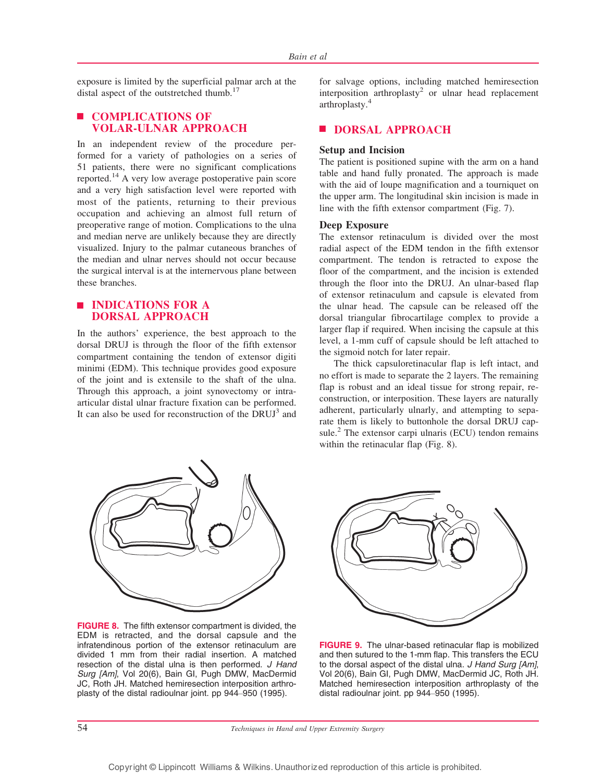exposure is limited by the superficial palmar arch at the distal aspect of the outstretched thumb.<sup>17</sup>

# **E** COMPLICATIONS OF VOLAR-ULNAR APPROACH

In an independent review of the procedure performed for a variety of pathologies on a series of 51 patients, there were no significant complications reported.<sup>14</sup> A very low average postoperative pain score and a very high satisfaction level were reported with most of the patients, returning to their previous occupation and achieving an almost full return of preoperative range of motion. Complications to the ulna and median nerve are unlikely because they are directly visualized. Injury to the palmar cutaneous branches of the median and ulnar nerves should not occur because the surgical interval is at the internervous plane between these branches.

## | INDICATIONS FOR A DORSAL APPROACH

In the authors' experience, the best approach to the dorsal DRUJ is through the floor of the fifth extensor compartment containing the tendon of extensor digiti minimi (EDM). This technique provides good exposure of the joint and is extensile to the shaft of the ulna. Through this approach, a joint synovectomy or intraarticular distal ulnar fracture fixation can be performed. It can also be used for reconstruction of the DRUJ<sup>3</sup> and

for salvage options, including matched hemiresection interposition arthroplasty<sup>2</sup> or ulnar head replacement arthroplasty.<sup>4</sup>

# **DORSAL APPROACH**

### Setup and Incision

The patient is positioned supine with the arm on a hand table and hand fully pronated. The approach is made with the aid of loupe magnification and a tourniquet on the upper arm. The longitudinal skin incision is made in line with the fifth extensor compartment (Fig. 7).

#### Deep Exposure

The extensor retinaculum is divided over the most radial aspect of the EDM tendon in the fifth extensor compartment. The tendon is retracted to expose the floor of the compartment, and the incision is extended through the floor into the DRUJ. An ulnar-based flap of extensor retinaculum and capsule is elevated from the ulnar head. The capsule can be released off the dorsal triangular fibrocartilage complex to provide a larger flap if required. When incising the capsule at this level, a 1-mm cuff of capsule should be left attached to the sigmoid notch for later repair.

The thick capsuloretinacular flap is left intact, and no effort is made to separate the 2 layers. The remaining flap is robust and an ideal tissue for strong repair, reconstruction, or interposition. These layers are naturally adherent, particularly ulnarly, and attempting to separate them is likely to buttonhole the dorsal DRUJ capsule. $^{2}$  The extensor carpi ulnaris (ECU) tendon remains within the retinacular flap (Fig. 8).



FIGURE 8. The fifth extensor compartment is divided, the EDM is retracted, and the dorsal capsule and the infratendinous portion of the extensor retinaculum are divided 1 mm from their radial insertion. A matched resection of the distal ulna is then performed. J Hand Surg [Am], Vol 20(6), Bain GI, Pugh DMW, MacDermid JC, Roth JH. Matched hemiresection interposition arthroplasty of the distal radioulnar joint. pp 944-950 (1995).



FIGURE 9. The ulnar-based retinacular flap is mobilized and then sutured to the 1-mm flap. This transfers the ECU to the dorsal aspect of the distal ulna. J Hand Surg [Am], Vol 20(6), Bain GI, Pugh DMW, MacDermid JC, Roth JH. Matched hemiresection interposition arthroplasty of the distal radioulnar joint. pp 944-950 (1995).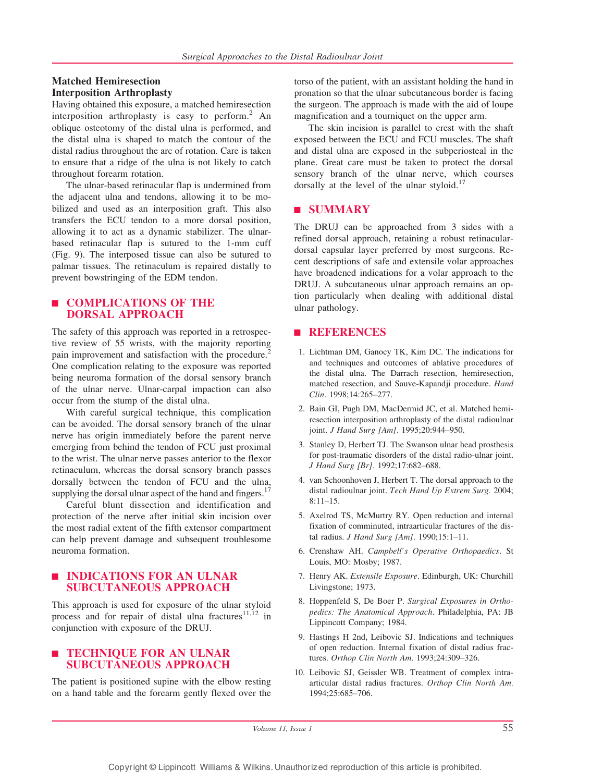## Matched Hemiresection Interposition Arthroplasty

Having obtained this exposure, a matched hemiresection interposition arthroplasty is easy to perform.<sup>2</sup> An oblique osteotomy of the distal ulna is performed, and the distal ulna is shaped to match the contour of the distal radius throughout the arc of rotation. Care is taken to ensure that a ridge of the ulna is not likely to catch throughout forearm rotation.

The ulnar-based retinacular flap is undermined from the adjacent ulna and tendons, allowing it to be mobilized and used as an interposition graft. This also transfers the ECU tendon to a more dorsal position, allowing it to act as a dynamic stabilizer. The ulnarbased retinacular flap is sutured to the 1-mm cuff (Fig. 9). The interposed tissue can also be sutured to palmar tissues. The retinaculum is repaired distally to prevent bowstringing of the EDM tendon.

## | COMPLICATIONS OF THE DORSAL APPROACH

The safety of this approach was reported in a retrospective review of 55 wrists, with the majority reporting pain improvement and satisfaction with the procedure.<sup>2</sup> One complication relating to the exposure was reported being neuroma formation of the dorsal sensory branch of the ulnar nerve. Ulnar-carpal impaction can also occur from the stump of the distal ulna.

With careful surgical technique, this complication can be avoided. The dorsal sensory branch of the ulnar nerve has origin immediately before the parent nerve emerging from behind the tendon of FCU just proximal to the wrist. The ulnar nerve passes anterior to the flexor retinaculum, whereas the dorsal sensory branch passes dorsally between the tendon of FCU and the ulna, supplying the dorsal ulnar aspect of the hand and fingers.<sup>17</sup>

Careful blunt dissection and identification and protection of the nerve after initial skin incision over the most radial extent of the fifth extensor compartment can help prevent damage and subsequent troublesome neuroma formation.

## | INDICATIONS FOR AN ULNAR SUBCUTANEOUS APPROACH

This approach is used for exposure of the ulnar styloid process and for repair of distal ulna fractures<sup>11,12</sup> in conjunction with exposure of the DRUJ.

# | TECHNIQUE FOR AN ULNAR SUBCUTANEOUS APPROACH

The patient is positioned supine with the elbow resting on a hand table and the forearm gently flexed over the torso of the patient, with an assistant holding the hand in pronation so that the ulnar subcutaneous border is facing the surgeon. The approach is made with the aid of loupe magnification and a tourniquet on the upper arm.

The skin incision is parallel to crest with the shaft exposed between the ECU and FCU muscles. The shaft and distal ulna are exposed in the subperiosteal in the plane. Great care must be taken to protect the dorsal sensory branch of the ulnar nerve, which courses dorsally at the level of the ulnar styloid.<sup>17</sup>

# **E** SUMMARY

The DRUJ can be approached from 3 sides with a refined dorsal approach, retaining a robust retinaculardorsal capsular layer preferred by most surgeons. Recent descriptions of safe and extensile volar approaches have broadened indications for a volar approach to the DRUJ. A subcutaneous ulnar approach remains an option particularly when dealing with additional distal ulnar pathology.

## **ENRERENCES**

- 1. Lichtman DM, Ganocy TK, Kim DC. The indications for and techniques and outcomes of ablative procedures of the distal ulna. The Darrach resection, hemiresection, matched resection, and Sauve-Kapandji procedure. *Hand Clin.* 1998;14:265-277.
- 2. Bain GI, Pugh DM, MacDermid JC, et al. Matched hemiresection interposition arthroplasty of the distal radioulnar joint. *J Hand Surg [Am]*. 1995;20:944-950.
- 3. Stanley D, Herbert TJ. The Swanson ulnar head prosthesis for post-traumatic disorders of the distal radio-ulnar joint. *J Hand Surg [Br].* 1992;17:682–688.
- 4. van Schoonhoven J, Herbert T. The dorsal approach to the distal radioulnar joint. *Tech Hand Up Extrem Surg.* 2004;  $8:11-15.$
- 5. Axelrod TS, McMurtry RY. Open reduction and internal fixation of comminuted, intraarticular fractures of the distal radius. *J Hand Surg [Am]*. 1990;15:1-11.
- 6. Crenshaw AH. *Campbell's Operative Orthopaedics*. St Louis, MO: Mosby; 1987.
- 7. Henry AK. *Extensile Exposure*. Edinburgh, UK: Churchill Livingstone; 1973.
- 8. Hoppenfeld S, De Boer P. *Surgical Exposures in Orthopedics: The Anatomical Approach*. Philadelphia, PA: JB Lippincott Company; 1984.
- 9. Hastings H 2nd, Leibovic SJ. Indications and techniques of open reduction. Internal fixation of distal radius fractures. Orthop Clin North Am. 1993;24:309-326.
- 10. Leibovic SJ, Geissler WB. Treatment of complex intraarticular distal radius fractures. *Orthop Clin North Am.* 1994;25:685-706.

Volume 11, Issue  $1$  55